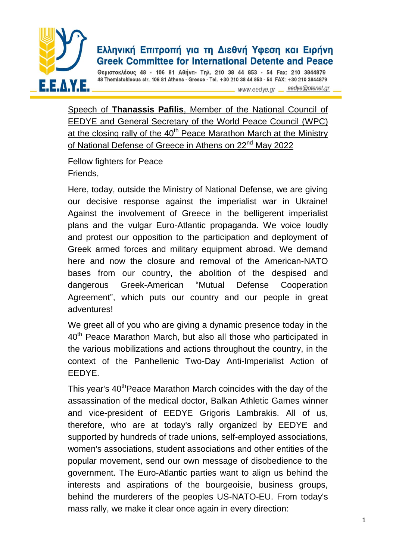

## Ελληνική Επιτροπή για τη Διεθνή Υφεση και Ειρήνη **Greek Committee for International Detente and Peace**

Θεμιστοκλέους 48 - 106 81 Αθήνα- Τηλ. 210 38 44 853 - 54 Fax: 210 3844879 48 Themistokleous str. 106 81 Athens - Greece - Tel. +30 210 38 44 853 - 54 FAX: +30 210 3844879

www.eedye.gr eedye@otenet.gr

Speech of **Thanassis Pafilis**, Member of the National Council of EEDYE and General Secretary of the World Peace Council (WPC) at the closing rally of the 40<sup>th</sup> Peace Marathon March at the Ministry of National Defense of Greece in Athens on 22<sup>nd</sup> May 2022

Fellow fighters for Peace Friends,

Here, today, outside the Ministry of National Defense, we are giving our decisive response against the imperialist war in Ukraine! Against the involvement of Greece in the belligerent imperialist plans and the vulgar Euro-Atlantic propaganda. We voice loudly and protest our opposition to the participation and deployment of Greek armed forces and military equipment abroad. We demand here and now the closure and removal of the American-NATO bases from our country, the abolition of the despised and dangerous Greek-American "Mutual Defense Cooperation Agreement", which puts our country and our people in great adventures!

We greet all of you who are giving a dynamic presence today in the 40<sup>th</sup> Peace Marathon March, but also all those who participated in the various mobilizations and actions throughout the country, in the context of the Panhellenic Two-Day Anti-Imperialist Action of EEDYE.

This year's 40<sup>th</sup>Peace Marathon March coincides with the day of the assassination of the medical doctor, Balkan Athletic Games winner and vice-president of EEDYE Grigoris Lambrakis. All of us, therefore, who are at today's rally organized by EEDYE and supported by hundreds of trade unions, self-employed associations, women's associations, student associations and other entities of the popular movement, send our own message of disobedience to the government. The Euro-Atlantic parties want to align us behind the interests and aspirations of the bourgeoisie, business groups, behind the murderers of the peoples US-NATO-EU. From today's mass rally, we make it clear once again in every direction: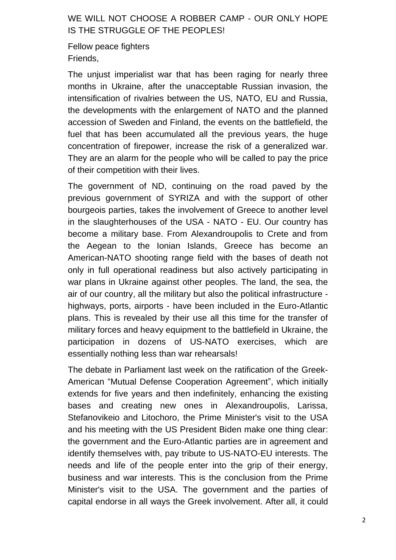## WE WILL NOT CHOOSE A ROBBER CAMP - OUR ONLY HOPE IS THE STRUGGLE OF THE PEOPLES!

Fellow peace fighters Friends,

The unjust imperialist war that has been raging for nearly three months in Ukraine, after the unacceptable Russian invasion, the intensification of rivalries between the US, NATO, EU and Russia, the developments with the enlargement of NATO and the planned accession of Sweden and Finland, the events on the battlefield, the fuel that has been accumulated all the previous years, the huge concentration of firepower, increase the risk of a generalized war. They are an alarm for the people who will be called to pay the price of their competition with their lives.

The government of ND, continuing on the road paved by the previous government of SYRIZA and with the support of other bourgeois parties, takes the involvement of Greece to another level in the slaughterhouses of the USA - NATO - EU. Our country has become a military base. From Alexandroupolis to Crete and from the Aegean to the Ionian Islands, Greece has become an American-NATO shooting range field with the bases of death not only in full operational readiness but also actively participating in war plans in Ukraine against other peoples. The land, the sea, the air of our country, all the military but also the political infrastructure highways, ports, airports - have been included in the Euro-Atlantic plans. This is revealed by their use all this time for the transfer of military forces and heavy equipment to the battlefield in Ukraine, the participation in dozens of US-NATO exercises, which are essentially nothing less than war rehearsals!

The debate in Parliament last week on the ratification of the Greek-American "Mutual Defense Cooperation Agreement", which initially extends for five years and then indefinitely, enhancing the existing bases and creating new ones in Alexandroupolis, Larissa, Stefanovikeio and Litochoro, the Prime Minister's visit to the USA and his meeting with the US President Biden make one thing clear: the government and the Euro-Atlantic parties are in agreement and identify themselves with, pay tribute to US-NATO-EU interests. The needs and life of the people enter into the grip of their energy, business and war interests. This is the conclusion from the Prime Minister's visit to the USA. The government and the parties of capital endorse in all ways the Greek involvement. After all, it could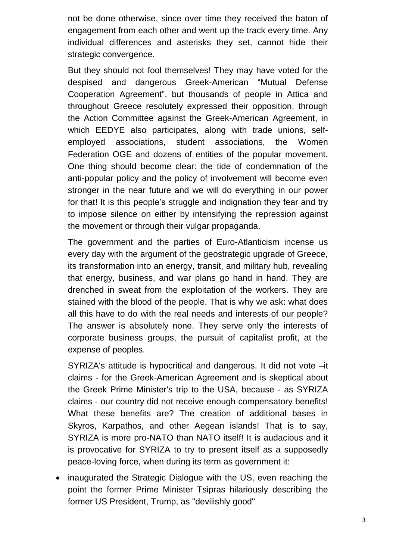not be done otherwise, since over time they received the baton of engagement from each other and went up the track every time. Any individual differences and asterisks they set, cannot hide their strategic convergence.

But they should not fool themselves! They may have voted for the despised and dangerous Greek-American "Mutual Defense Cooperation Agreement", but thousands of people in Attica and throughout Greece resolutely expressed their opposition, through the Action Committee against the Greek-American Agreement, in which EEDYE also participates, along with trade unions, selfemployed associations, student associations, the Women Federation OGE and dozens of entities of the popular movement. One thing should become clear: the tide of condemnation of the anti-popular policy and the policy of involvement will become even stronger in the near future and we will do everything in our power for that! It is this people's struggle and indignation they fear and try to impose silence on either by intensifying the repression against the movement or through their vulgar propaganda.

The government and the parties of Euro-Atlanticism incense us every day with the argument of the geostrategic upgrade of Greece, its transformation into an energy, transit, and military hub, revealing that energy, business, and war plans go hand in hand. They are drenched in sweat from the exploitation of the workers. They are stained with the blood of the people. That is why we ask: what does all this have to do with the real needs and interests of our people? The answer is absolutely none. They serve only the interests of corporate business groups, the pursuit of capitalist profit, at the expense of peoples.

SYRIZA's attitude is hypocritical and dangerous. It did not vote –it claims - for the Greek-American Agreement and is skeptical about the Greek Prime Minister's trip to the USA, because - as SYRIZA claims - our country did not receive enough compensatory benefits! What these benefits are? The creation of additional bases in Skyros, Karpathos, and other Aegean islands! That is to say, SYRIZA is more pro-NATO than NATO itself! It is audacious and it is provocative for SYRIZA to try to present itself as a supposedly peace-loving force, when during its term as government it:

 inaugurated the Strategic Dialogue with the US, even reaching the point the former Prime Minister Tsipras hilariously describing the former US President, Trump, as "devilishly good"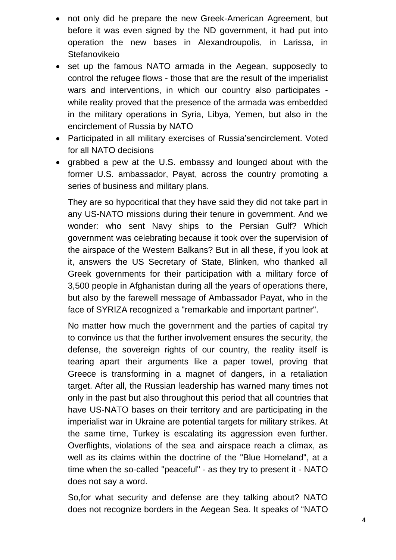- not only did he prepare the new Greek-American Agreement, but before it was even signed by the ND government, it had put into operation the new bases in Alexandroupolis, in Larissa, in **Stefanovikeio**
- set up the famous NATO armada in the Aegean, supposedly to control the refugee flows - those that are the result of the imperialist wars and interventions, in which our country also participates while reality proved that the presence of the armada was embedded in the military operations in Syria, Libya, Yemen, but also in the encirclement of Russia by NATO
- Participated in all military exercises of Russia'sencirclement. Voted for all NATO decisions
- grabbed a pew at the U.S. embassy and lounged about with the former U.S. ambassador, Payat, across the country promoting a series of business and military plans.

They are so hypocritical that they have said they did not take part in any US-NATO missions during their tenure in government. And we wonder: who sent Navy ships to the Persian Gulf? Which government was celebrating because it took over the supervision of the airspace of the Western Balkans? But in all these, if you look at it, answers the US Secretary of State, Blinken, who thanked all Greek governments for their participation with a military force of 3,500 people in Afghanistan during all the years of operations there, but also by the farewell message of Ambassador Payat, who in the face of SYRIZA recognized a "remarkable and important partner".

No matter how much the government and the parties of capital try to convince us that the further involvement ensures the security, the defense, the sovereign rights of our country, the reality itself is tearing apart their arguments like a paper towel, proving that Greece is transforming in a magnet of dangers, in a retaliation target. After all, the Russian leadership has warned many times not only in the past but also throughout this period that all countries that have US-NATO bases on their territory and are participating in the imperialist war in Ukraine are potential targets for military strikes. At the same time, Turkey is escalating its aggression even further. Overflights, violations of the sea and airspace reach a climax, as well as its claims within the doctrine of the "Blue Homeland", at a time when the so-called "peaceful" - as they try to present it - NATO does not say a word.

So,for what security and defense are they talking about? NATO does not recognize borders in the Aegean Sea. It speaks of "NATO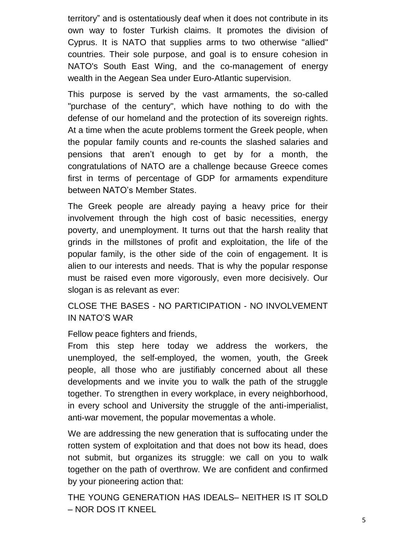territory" and is ostentatiously deaf when it does not contribute in its own way to foster Turkish claims. It promotes the division of Cyprus. It is NATO that supplies arms to two otherwise "allied" countries. Their sole purpose, and goal is to ensure cohesion in NATO's South East Wing, and the co-management of energy wealth in the Aegean Sea under Euro-Atlantic supervision.

This purpose is served by the vast armaments, the so-called "purchase of the century", which have nothing to do with the defense of our homeland and the protection of its sovereign rights. At a time when the acute problems torment the Greek people, when the popular family counts and re-counts the slashed salaries and pensions that aren't enough to get by for a month, the congratulations of NATO are a challenge because Greece comes first in terms of percentage of GDP for armaments expenditure between NATO's Member States.

The Greek people are already paying a heavy price for their involvement through the high cost of basic necessities, energy poverty, and unemployment. It turns out that the harsh reality that grinds in the millstones of profit and exploitation, the life of the popular family, is the other side of the coin of engagement. It is alien to our interests and needs. That is why the popular response must be raised even more vigorously, even more decisively. Our slogan is as relevant as ever:

CLOSE THE BASES - NO PARTICIPATION - NO INVOLVEMENT IN NATO'S WAR

Fellow peace fighters and friends,

From this step here today we address the workers, the unemployed, the self-employed, the women, youth, the Greek people, all those who are justifiably concerned about all these developments and we invite you to walk the path of the struggle together. To strengthen in every workplace, in every neighborhood, in every school and University the struggle of the anti-imperialist, anti-war movement, the popular movementas a whole.

We are addressing the new generation that is suffocating under the rotten system of exploitation and that does not bow its head, does not submit, but organizes its struggle: we call on you to walk together on the path of overthrow. We are confident and confirmed by your pioneering action that:

THE YOUNG GENERATION HAS IDEALS– NEITHER IS IT SOLD – NOR DOS IT KNEEL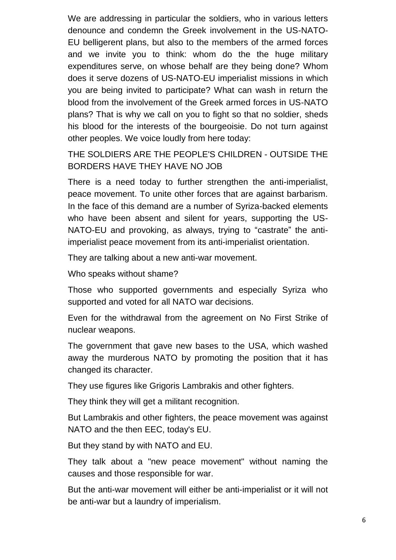We are addressing in particular the soldiers, who in various letters denounce and condemn the Greek involvement in the US-NATO-EU belligerent plans, but also to the members of the armed forces and we invite you to think: whom do the the huge military expenditures serve, on whose behalf are they being done? Whom does it serve dozens of US-NATO-EU imperialist missions in which you are being invited to participate? What can wash in return the blood from the involvement of the Greek armed forces in US-NATO plans? That is why we call on you to fight so that no soldier, sheds his blood for the interests of the bourgeoisie. Do not turn against other peoples. We voice loudly from here today:

THE SOLDIERS ARE THE PEOPLE'S CHILDREN - OUTSIDE THE BORDERS HAVE THEY HAVE NO JOB

There is a need today to further strengthen the anti-imperialist, peace movement. To unite other forces that are against barbarism. In the face of this demand are a number of Syriza-backed elements who have been absent and silent for years, supporting the US-NATO-EU and provoking, as always, trying to "castrate" the antiimperialist peace movement from its anti-imperialist orientation.

They are talking about a new anti-war movement.

Who speaks without shame?

Those who supported governments and especially Syriza who supported and voted for all NATO war decisions.

Even for the withdrawal from the agreement on No First Strike of nuclear weapons.

The government that gave new bases to the USA, which washed away the murderous NATO by promoting the position that it has changed its character.

They use figures like Grigoris Lambrakis and other fighters.

They think they will get a militant recognition.

But Lambrakis and other fighters, the peace movement was against NATO and the then EEC, today's EU.

But they stand by with NATO and EU.

They talk about a "new peace movement" without naming the causes and those responsible for war.

But the anti-war movement will either be anti-imperialist or it will not be anti-war but a laundry of imperialism.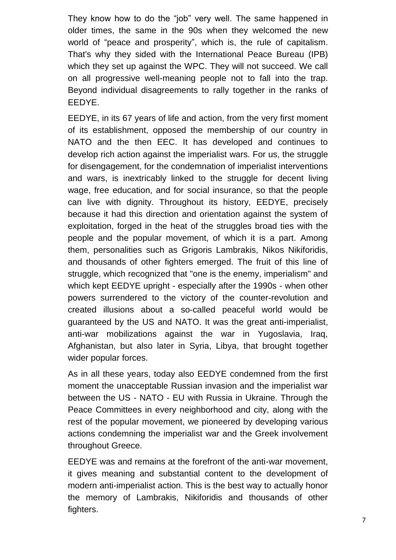They know how to do the "job" very well. The same happened in older times, the same in the 90s when they welcomed the new world of "peace and prosperity", which is, the rule of capitalism. That's why they sided with the International Peace Bureau (IPB) which they set up against the WPC. They will not succeed. We call on all progressive well-meaning people not to fall into the trap. Beyond individual disagreements to rally together in the ranks of EEDYE.

EEDYE, in its 67 years of life and action, from the very first moment of its establishment, opposed the membership of our country in NATO and the then EEC. It has developed and continues to develop rich action against the imperialist wars. For us, the struggle for disengagement, for the condemnation of imperialist interventions and wars, is inextricably linked to the struggle for decent living wage, free education, and for social insurance, so that the people can live with dignity. Throughout its history, EEDYE, precisely because it had this direction and orientation against the system of exploitation, forged in the heat of the struggles broad ties with the people and the popular movement, of which it is a part. Among them, personalities such as Grigoris Lambrakis, Nikos Nikiforidis, and thousands of other fighters emerged. The fruit of this line of struggle, which recognized that "one is the enemy, imperialism" and which kept EEDYE upright - especially after the 1990s - when other powers surrendered to the victory of the counter-revolution and created illusions about a so-called peaceful world would be guaranteed by the US and NATO. It was the great anti-imperialist, anti-war mobilizations against the war in Yugoslavia, Iraq, Afghanistan, but also later in Syria, Libya, that brought together wider popular forces.

As in all these years, today also EEDYE condemned from the first moment the unacceptable Russian invasion and the imperialist war between the US - NATO - EU with Russia in Ukraine. Through the Peace Committees in every neighborhood and city, along with the rest of the popular movement, we pioneered by developing various actions condemning the imperialist war and the Greek involvement throughout Greece.

EEDYE was and remains at the forefront of the anti-war movement, it gives meaning and substantial content to the development of modern anti-imperialist action. This is the best way to actually honor the memory of Lambrakis, Nikiforidis and thousands of other fighters.